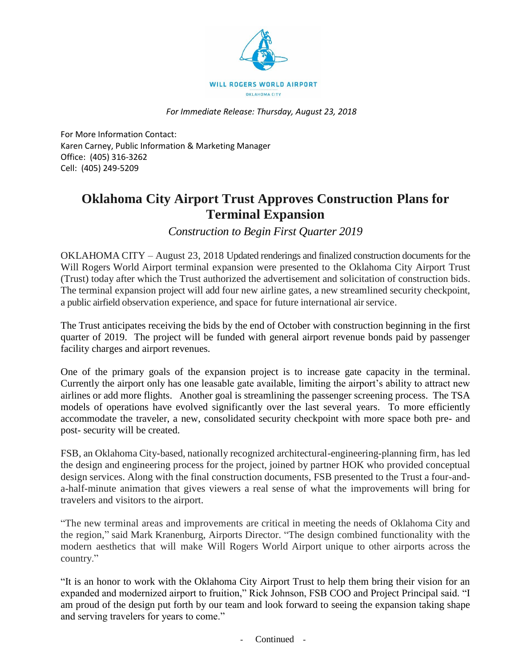

*For Immediate Release: Thursday, August 23, 2018*

For More Information Contact: Karen Carney, Public Information & Marketing Manager Office: (405) 316-3262 Cell: (405) 249-5209

## **Oklahoma City Airport Trust Approves Construction Plans for Terminal Expansion**

*Construction to Begin First Quarter 2019*

OKLAHOMA CITY – August 23, 2018 Updated renderings and finalized construction documents for the Will Rogers World Airport terminal expansion were presented to the Oklahoma City Airport Trust (Trust) today after which the Trust authorized the advertisement and solicitation of construction bids. The terminal expansion project will add four new airline gates, a new streamlined security checkpoint, a public airfield observation experience, and space for future international air service.

The Trust anticipates receiving the bids by the end of October with construction beginning in the first quarter of 2019. The project will be funded with general airport revenue bonds paid by passenger facility charges and airport revenues.

One of the primary goals of the expansion project is to increase gate capacity in the terminal. Currently the airport only has one leasable gate available, limiting the airport's ability to attract new airlines or add more flights. Another goal is streamlining the passenger screening process. The TSA models of operations have evolved significantly over the last several years. To more efficiently accommodate the traveler, a new, consolidated security checkpoint with more space both pre- and post- security will be created.

FSB, an Oklahoma City-based, nationally recognized architectural-engineering-planning firm, has led the design and engineering process for the project, joined by partner HOK who provided conceptual design services. Along with the final construction documents, FSB presented to the Trust a four-anda-half-minute animation that gives viewers a real sense of what the improvements will bring for travelers and visitors to the airport.

"The new terminal areas and improvements are critical in meeting the needs of Oklahoma City and the region," said Mark Kranenburg, Airports Director. "The design combined functionality with the modern aesthetics that will make Will Rogers World Airport unique to other airports across the country."

"It is an honor to work with the Oklahoma City Airport Trust to help them bring their vision for an expanded and modernized airport to fruition," Rick Johnson, FSB COO and Project Principal said. "I am proud of the design put forth by our team and look forward to seeing the expansion taking shape and serving travelers for years to come."